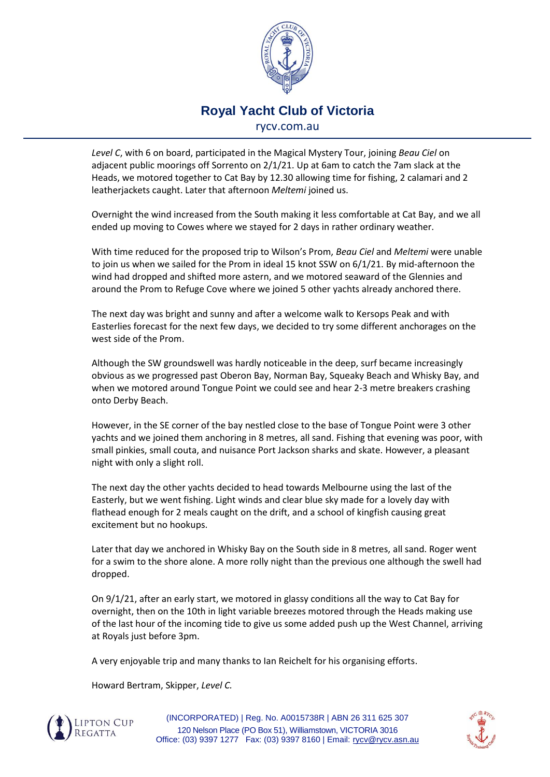

## **Royal Yacht Club of Victoria** rycv.com.au

*Level C*, with 6 on board, participated in the Magical Mystery Tour, joining *Beau Ciel* on adjacent public moorings off Sorrento on 2/1/21. Up at 6am to catch the 7am slack at the Heads, we motored together to Cat Bay by 12.30 allowing time for fishing, 2 calamari and 2 leatherjackets caught. Later that afternoon *Meltemi* joined us.

Overnight the wind increased from the South making it less comfortable at Cat Bay, and we all ended up moving to Cowes where we stayed for 2 days in rather ordinary weather.

With time reduced for the proposed trip to Wilson's Prom, *Beau Ciel* and *Meltemi* were unable to join us when we sailed for the Prom in ideal 15 knot SSW on 6/1/21. By mid-afternoon the wind had dropped and shifted more astern, and we motored seaward of the Glennies and around the Prom to Refuge Cove where we joined 5 other yachts already anchored there.

The next day was bright and sunny and after a welcome walk to Kersops Peak and with Easterlies forecast for the next few days, we decided to try some different anchorages on the west side of the Prom.

Although the SW groundswell was hardly noticeable in the deep, surf became increasingly obvious as we progressed past Oberon Bay, Norman Bay, Squeaky Beach and Whisky Bay, and when we motored around Tongue Point we could see and hear 2-3 metre breakers crashing onto Derby Beach.

However, in the SE corner of the bay nestled close to the base of Tongue Point were 3 other yachts and we joined them anchoring in 8 metres, all sand. Fishing that evening was poor, with small pinkies, small couta, and nuisance Port Jackson sharks and skate. However, a pleasant night with only a slight roll.

The next day the other yachts decided to head towards Melbourne using the last of the Easterly, but we went fishing. Light winds and clear blue sky made for a lovely day with flathead enough for 2 meals caught on the drift, and a school of kingfish causing great excitement but no hookups.

Later that day we anchored in Whisky Bay on the South side in 8 metres, all sand. Roger went for a swim to the shore alone. A more rolly night than the previous one although the swell had dropped.

On 9/1/21, after an early start, we motored in glassy conditions all the way to Cat Bay for overnight, then on the 10th in light variable breezes motored through the Heads making use of the last hour of the incoming tide to give us some added push up the West Channel, arriving at Royals just before 3pm.

A very enjoyable trip and many thanks to Ian Reichelt for his organising efforts.

Howard Bertram, Skipper, *Level C.*



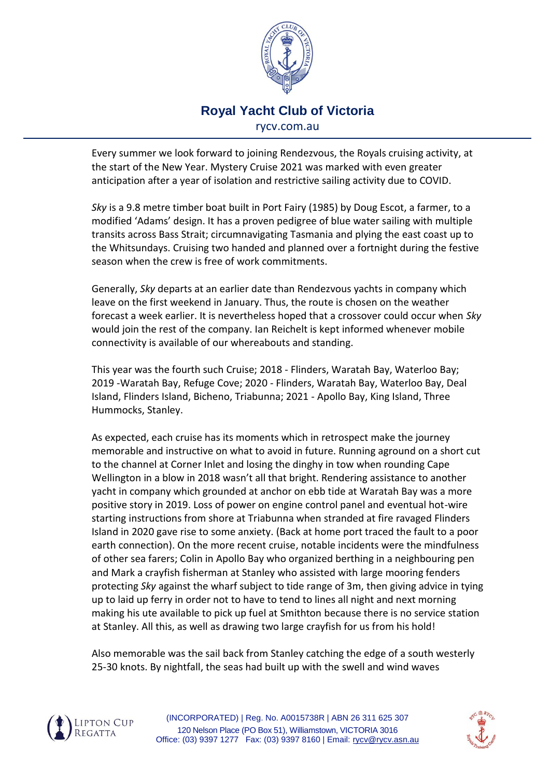

## **Royal Yacht Club of Victoria** rycv.com.au

Every summer we look forward to joining Rendezvous, the Royals cruising activity, at the start of the New Year. Mystery Cruise 2021 was marked with even greater anticipation after a year of isolation and restrictive sailing activity due to COVID.

*Sky* is a 9.8 metre timber boat built in Port Fairy (1985) by Doug Escot, a farmer, to a modified 'Adams' design. It has a proven pedigree of blue water sailing with multiple transits across Bass Strait; circumnavigating Tasmania and plying the east coast up to the Whitsundays. Cruising two handed and planned over a fortnight during the festive season when the crew is free of work commitments.

Generally, *Sky* departs at an earlier date than Rendezvous yachts in company which leave on the first weekend in January. Thus, the route is chosen on the weather forecast a week earlier. It is nevertheless hoped that a crossover could occur when *Sky* would join the rest of the company. Ian Reichelt is kept informed whenever mobile connectivity is available of our whereabouts and standing.

This year was the fourth such Cruise; 2018 - Flinders, Waratah Bay, Waterloo Bay; 2019 -Waratah Bay, Refuge Cove; 2020 - Flinders, Waratah Bay, Waterloo Bay, Deal Island, Flinders Island, Bicheno, Triabunna; 2021 - Apollo Bay, King Island, Three Hummocks, Stanley.

As expected, each cruise has its moments which in retrospect make the journey memorable and instructive on what to avoid in future. Running aground on a short cut to the channel at Corner Inlet and losing the dinghy in tow when rounding Cape Wellington in a blow in 2018 wasn't all that bright. Rendering assistance to another yacht in company which grounded at anchor on ebb tide at Waratah Bay was a more positive story in 2019. Loss of power on engine control panel and eventual hot-wire starting instructions from shore at Triabunna when stranded at fire ravaged Flinders Island in 2020 gave rise to some anxiety. (Back at home port traced the fault to a poor earth connection). On the more recent cruise, notable incidents were the mindfulness of other sea farers; Colin in Apollo Bay who organized berthing in a neighbouring pen and Mark a crayfish fisherman at Stanley who assisted with large mooring fenders protecting *Sky* against the wharf subject to tide range of 3m, then giving advice in tying up to laid up ferry in order not to have to tend to lines all night and next morning making his ute available to pick up fuel at Smithton because there is no service station at Stanley. All this, as well as drawing two large crayfish for us from his hold!

Also memorable was the sail back from Stanley catching the edge of a south westerly 25-30 knots. By nightfall, the seas had built up with the swell and wind waves